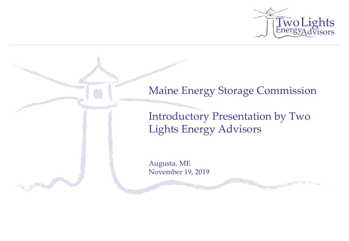

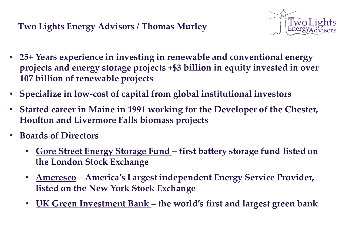

- **25+ Years experience in investing in renewable and conventional energy projects and energy storage projects +\$3 billion in equity invested in over 107 billion of renewable projects**
- **Specialize in low-cost of capital from global institutional investors**
- **Started career in Maine in 1991 working for the Developer of the Chester, Houlton and Livermore Falls biomass projects**
- **Boards of Directors**
	- **Gore Street Energy Storage Fund – first battery storage fund listed on the London Stock Exchange**
	- **Ameresco – America's Largest independent Energy Service Provider, listed on the New York Stock Exchange**
	- **UK Green Investment Bank – the world's first and largest green bank**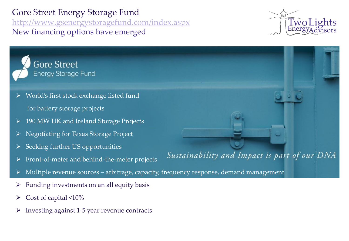Gore Street Energy Storage Fund <http://www.gsenergystoragefund.com/index.aspx> New financing options have emerged



Sustainability and Impact is part of our DNA



- World's first stock exchange listed fund
	- for battery storage projects
- ➢ 190 MW UK and Ireland Storage Projects
- ➢ Negotiating for Texas Storage Project
- ➢ Seeking further US opportunities
- ➢ Front-of-meter and behind-the-meter projects
- Multiple revenue sources arbitrage, capacity, frequency response, demand management
- $\triangleright$  Funding investments on an all equity basis
- $\triangleright$  Cost of capital <10%
- $\triangleright$  Investing against 1-5 year revenue contracts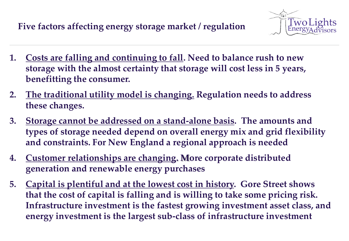# **Five factors affecting energy storage market / regulation**



- **1. Costs are falling and continuing to fall. Need to balance rush to new storage with the almost certainty that storage will cost less in 5 years, benefitting the consumer.**
- **2. The traditional utility model is changing. Regulation needs to address these changes.**
- **3. Storage cannot be addressed on a stand-alone basis. The amounts and types of storage needed depend on overall energy mix and grid flexibility and constraints. For New England a regional approach is needed**
- **4. Customer relationships are changing. More corporate distributed generation and renewable energy purchases**
- **5. Capital is plentiful and at the lowest cost in history. Gore Street shows that the cost of capital is falling and is willing to take some pricing risk. Infrastructure investment is the fastest growing investment asset class, and energy investment is the largest sub-class of infrastructure investment**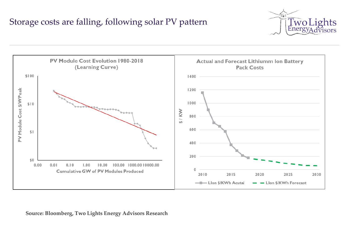## Storage costs are falling, following solar PV pattern





#### **Source: Bloomberg, Two Lights Energy Advisors Research**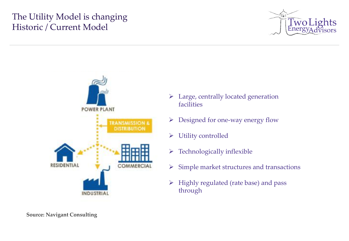## The Utility Model is changing Historic / Current Model





- ➢ Large, centrally located generation facilities
- $\triangleright$  Designed for one-way energy flow
- ➢ Utility controlled
- $\triangleright$  Technologically inflexible
- $\triangleright$  Simple market structures and transactions
- $\triangleright$  Highly regulated (rate base) and pass through

**Source: Navigant Consulting**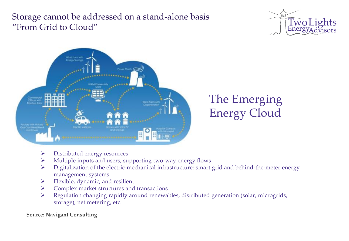### Storage cannot be addressed on a stand-alone basis "From Grid to Cloud"





- ➢ Distributed energy resources
- ➢ Multiple inputs and users, supporting two-way energy flows
- ➢ Digitalization of the electric-mechanical infrastructure: smart grid and behind-the-meter energy management systems
- ➢ Flexible, dynamic, and resilient
- ➢ Complex market structures and transactions
- ➢ Regulation changing rapidly around renewables, distributed generation (solar, microgrids, storage), net metering, etc.

**Source: Navigant Consulting**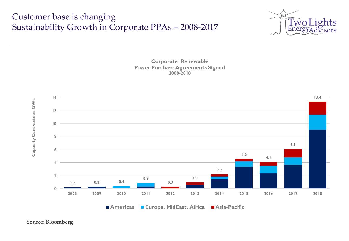#### Customer base is changing Sustainability Growth in Corporate PPAs – 2008-2017







**Source: Bloomberg**